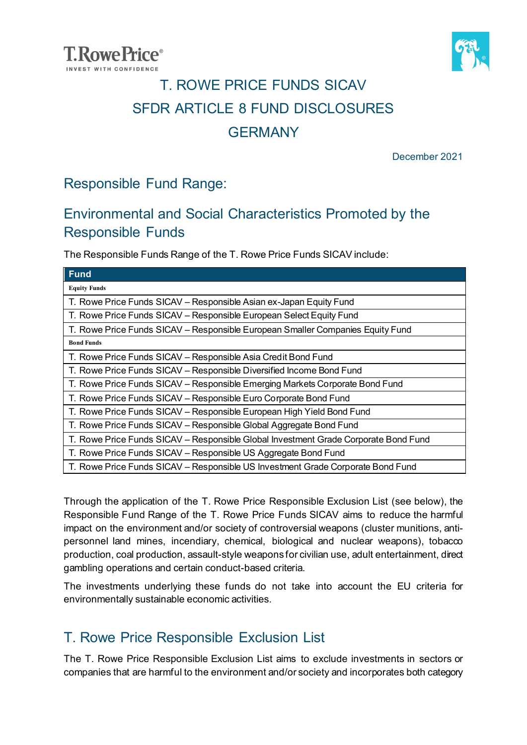



### T. ROWE PRICE FUNDS SICAV SFDR ARTICLE 8 FUND DISCLOSURES **GERMANY**

December 2021

#### Responsible Fund Range:

#### Environmental and Social Characteristics Promoted by the Responsible Funds

The Responsible Funds Range of the T. Rowe Price Funds SICAV include:

| $E$ rund                                                                            |
|-------------------------------------------------------------------------------------|
| <b>Equity Funds</b>                                                                 |
| T. Rowe Price Funds SICAV - Responsible Asian ex-Japan Equity Fund                  |
| T. Rowe Price Funds SICAV - Responsible European Select Equity Fund                 |
| T. Rowe Price Funds SICAV - Responsible European Smaller Companies Equity Fund      |
| <b>Bond Funds</b>                                                                   |
| T. Rowe Price Funds SICAV - Responsible Asia Credit Bond Fund                       |
| T. Rowe Price Funds SICAV - Responsible Diversified Income Bond Fund                |
| T. Rowe Price Funds SICAV - Responsible Emerging Markets Corporate Bond Fund        |
| T. Rowe Price Funds SICAV – Responsible Euro Corporate Bond Fund                    |
| T. Rowe Price Funds SICAV - Responsible European High Yield Bond Fund               |
| T. Rowe Price Funds SICAV - Responsible Global Aggregate Bond Fund                  |
| T. Rowe Price Funds SICAV - Responsible Global Investment Grade Corporate Bond Fund |
| T. Rowe Price Funds SICAV – Responsible US Aggregate Bond Fund                      |
| T. Rowe Price Funds SICAV - Responsible US Investment Grade Corporate Bond Fund     |

Through the application of the T. Rowe Price Responsible Exclusion List (see below), the Responsible Fund Range of the T. Rowe Price Funds SICAV aims to reduce the harmful impact on the environment and/or society of controversial weapons (cluster munitions, antipersonnel land mines, incendiary, chemical, biological and nuclear weapons), tobacco production, coal production, assault-style weapons for civilian use, adult entertainment, direct gambling operations and certain conduct-based criteria.

The investments underlying these funds do not take into account the EU criteria for environmentally sustainable economic activities.

#### T. Rowe Price Responsible Exclusion List

The T. Rowe Price Responsible Exclusion List aims to exclude investments in sectors or companies that are harmful to the environment and/or society and incorporates both category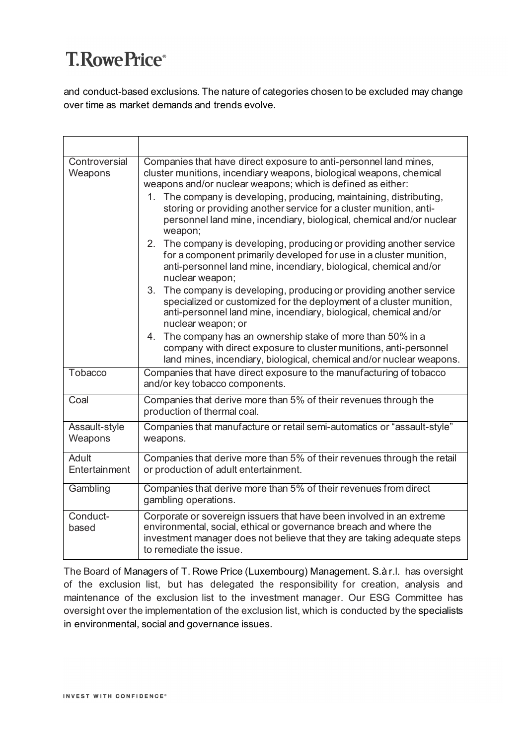and conduct-based exclusions. The nature of categories chosen to be excluded may change over time as market demands and trends evolve.

| Controversial<br>Weapons | Companies that have direct exposure to anti-personnel land mines,<br>cluster munitions, incendiary weapons, biological weapons, chemical<br>weapons and/or nuclear weapons; which is defined as either:<br>The company is developing, producing, maintaining, distributing,<br>1.<br>storing or providing another service for a cluster munition, anti-<br>personnel land mine, incendiary, biological, chemical and/or nuclear<br>weapon;<br>The company is developing, producing or providing another service<br>2 <sub>1</sub><br>for a component primarily developed for use in a cluster munition,<br>anti-personnel land mine, incendiary, biological, chemical and/or<br>nuclear weapon;<br>3.<br>The company is developing, producing or providing another service<br>specialized or customized for the deployment of a cluster munition,<br>anti-personnel land mine, incendiary, biological, chemical and/or<br>nuclear weapon; or<br>4. The company has an ownership stake of more than 50% in a |
|--------------------------|-------------------------------------------------------------------------------------------------------------------------------------------------------------------------------------------------------------------------------------------------------------------------------------------------------------------------------------------------------------------------------------------------------------------------------------------------------------------------------------------------------------------------------------------------------------------------------------------------------------------------------------------------------------------------------------------------------------------------------------------------------------------------------------------------------------------------------------------------------------------------------------------------------------------------------------------------------------------------------------------------------------|
|                          | company with direct exposure to cluster munitions, anti-personnel<br>land mines, incendiary, biological, chemical and/or nuclear weapons.                                                                                                                                                                                                                                                                                                                                                                                                                                                                                                                                                                                                                                                                                                                                                                                                                                                                   |
| Tobacco                  | Companies that have direct exposure to the manufacturing of tobacco<br>and/or key tobacco components.                                                                                                                                                                                                                                                                                                                                                                                                                                                                                                                                                                                                                                                                                                                                                                                                                                                                                                       |
| Coal                     | Companies that derive more than 5% of their revenues through the<br>production of thermal coal.                                                                                                                                                                                                                                                                                                                                                                                                                                                                                                                                                                                                                                                                                                                                                                                                                                                                                                             |
| Assault-style<br>Weapons | Companies that manufacture or retail semi-automatics or "assault-style"<br>weapons.                                                                                                                                                                                                                                                                                                                                                                                                                                                                                                                                                                                                                                                                                                                                                                                                                                                                                                                         |
| Adult<br>Entertainment   | Companies that derive more than 5% of their revenues through the retail<br>or production of adult entertainment.                                                                                                                                                                                                                                                                                                                                                                                                                                                                                                                                                                                                                                                                                                                                                                                                                                                                                            |
| Gambling                 | Companies that derive more than 5% of their revenues from direct<br>gambling operations.                                                                                                                                                                                                                                                                                                                                                                                                                                                                                                                                                                                                                                                                                                                                                                                                                                                                                                                    |
| Conduct-<br>based        | Corporate or sovereign issuers that have been involved in an extreme<br>environmental, social, ethical or governance breach and where the<br>investment manager does not believe that they are taking adequate steps<br>to remediate the issue.                                                                                                                                                                                                                                                                                                                                                                                                                                                                                                                                                                                                                                                                                                                                                             |

The Board of Managers of T. Rowe Price (Luxembourg) Management. S.à r.l. has oversight of the exclusion list, but has delegated the responsibility for creation, analysis and maintenance of the exclusion list to the investment manager. Our ESG Committee has oversight over the implementation of the exclusion list, which is conducted by the specialists in environmental, social and governance issues.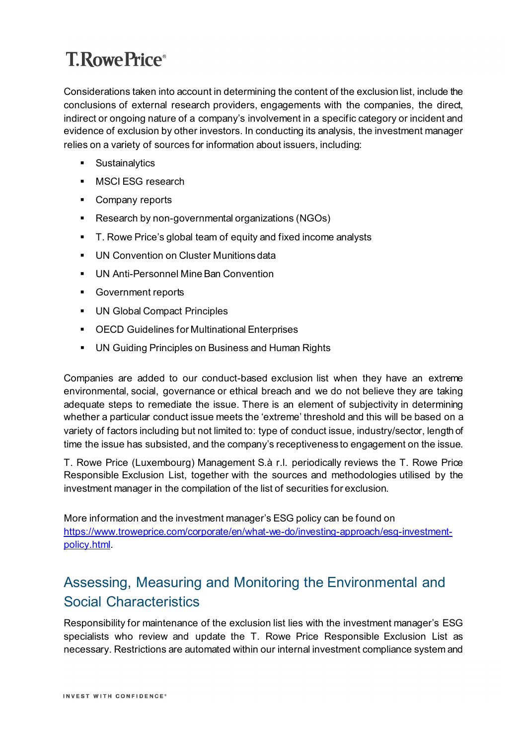Considerations taken into account in determining the content of the exclusion list, include the conclusions of external research providers, engagements with the companies, the direct, indirect or ongoing nature of a company's involvement in a specific category or incident and evidence of exclusion by other investors. In conducting its analysis, the investment manager relies on a variety of sources for information about issuers, including:

- **Sustainalytics**
- **MSCIESG research**
- Company reports
- Research by non-governmental organizations (NGOs)
- T. Rowe Price's global team of equity and fixed income analysts
- **UN Convention on Cluster Munitions data**
- UN Anti-Personnel Mine Ban Convention
- **Government reports**
- **UN Global Compact Principles**
- OECD Guidelines for Multinational Enterprises
- **UN Guiding Principles on Business and Human Rights**

Companies are added to our conduct-based exclusion list when they have an extreme environmental, social, governance or ethical breach and we do not believe they are taking adequate steps to remediate the issue. There is an element of subjectivity in determining whether a particular conduct issue meets the 'extreme' threshold and this will be based on a variety of factors including but not limited to: type of conduct issue, industry/sector, length of time the issue has subsisted, and the company's receptiveness to engagement on the issue.

T. Rowe Price (Luxembourg) Management S.à r.l. periodically reviews the T. Rowe Price Responsible Exclusion List, together with the sources and methodologies utilised by the investment manager in the compilation of the list of securities for exclusion.

More information and the investment manager's ESG policy can be found on [https://www.troweprice.com/corporate/en/what-we-do/investing-approach/esg-investment](https://www.troweprice.com/corporate/en/what-we-do/investing-approach/esg-investment-policy.html)[policy.html.](https://www.troweprice.com/corporate/en/what-we-do/investing-approach/esg-investment-policy.html)

#### Assessing, Measuring and Monitoring the Environmental and Social Characteristics

Responsibility for maintenance of the exclusion list lies with the investment manager's ESG specialists who review and update the T. Rowe Price Responsible Exclusion List as necessary. Restrictions are automated within our internal investment compliance system and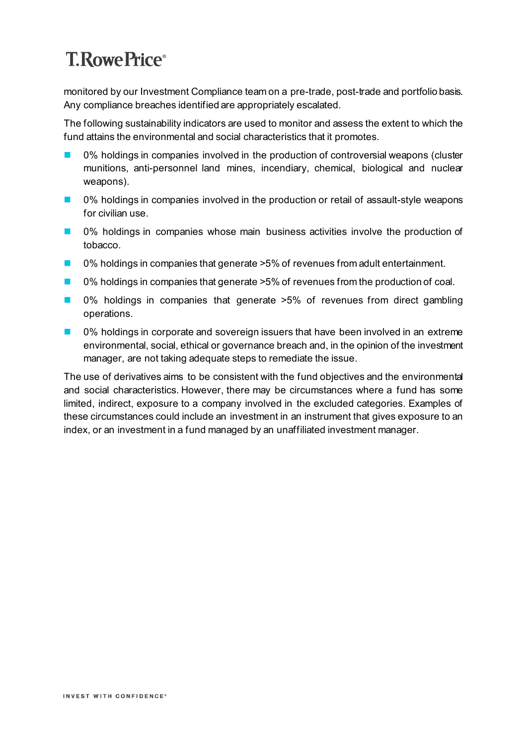monitored by our Investment Compliance team on a pre-trade, post-trade and portfolio basis. Any compliance breaches identified are appropriately escalated.

The following sustainability indicators are used to monitor and assess the extent to which the fund attains the environmental and social characteristics that it promotes.

- 0% holdings in companies involved in the production of controversial weapons (cluster munitions, anti-personnel land mines, incendiary, chemical, biological and nuclear weapons).
- 0% holdings in companies involved in the production or retail of assault-style weapons for civilian use.
- 0% holdings in companies whose main business activities involve the production of tobacco.
- 0% holdings in companies that generate >5% of revenues from adult entertainment.
- 0% holdings in companies that generate >5% of revenues from the production of coal.
- 0% holdings in companies that generate >5% of revenues from direct gambling operations.
- 0% holdings in corporate and sovereign issuers that have been involved in an extreme environmental, social, ethical or governance breach and, in the opinion of the investment manager, are not taking adequate steps to remediate the issue.

The use of derivatives aims to be consistent with the fund objectives and the environmental and social characteristics. However, there may be circumstances where a fund has some limited, indirect, exposure to a company involved in the excluded categories. Examples of these circumstances could include an investment in an instrument that gives exposure to an index, or an investment in a fund managed by an unaffiliated investment manager.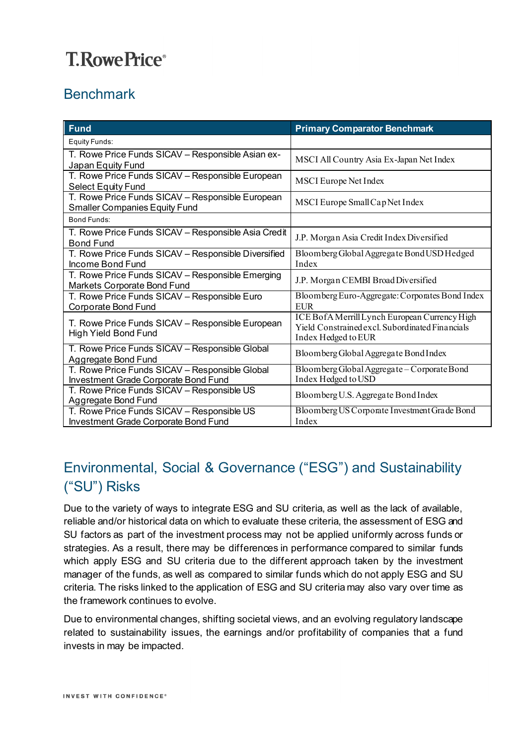### Benchmark

| <b>Fund</b>                                                                              | <b>Primary Comparator Benchmark</b>                                                                                     |
|------------------------------------------------------------------------------------------|-------------------------------------------------------------------------------------------------------------------------|
| Equity Funds:                                                                            |                                                                                                                         |
| T. Rowe Price Funds SICAV - Responsible Asian ex-<br>Japan Equity Fund                   | MSCI All Country Asia Ex-Japan Net Index                                                                                |
| T. Rowe Price Funds SICAV - Responsible European<br><b>Select Equity Fund</b>            | <b>MSCI</b> Europe Net Index                                                                                            |
| T. Rowe Price Funds SICAV - Responsible European<br><b>Smaller Companies Equity Fund</b> | MSCI Europe Small Cap Net Index                                                                                         |
| Bond Funds:                                                                              |                                                                                                                         |
| T. Rowe Price Funds SICAV - Responsible Asia Credit<br><b>Bond Fund</b>                  | J.P. Morgan Asia Credit Index Diversified                                                                               |
| T. Rowe Price Funds SICAV - Responsible Diversified<br>Income Bond Fund                  | Bloomberg Global Aggregate Bond USD Hedged<br>Index                                                                     |
| T. Rowe Price Funds SICAV - Responsible Emerging<br>Markets Corporate Bond Fund          | J.P. Morgan CEMBI Broad Diversified                                                                                     |
| T. Rowe Price Funds SICAV - Responsible Euro<br>Corporate Bond Fund                      | Bloomberg Euro-Aggregate: Corporates Bond Index<br><b>EUR</b>                                                           |
| T. Rowe Price Funds SICAV - Responsible European<br><b>High Yield Bond Fund</b>          | ICE BofA Merrill Lynch European Currency High<br>Yield Constrained excl. Subordinated Financials<br>Index Hedged to EUR |
| T. Rowe Price Funds SICAV - Responsible Global<br><b>Aggregate Bond Fund</b>             | Bloomberg Global Aggregate Bond Index                                                                                   |
| T. Rowe Price Funds SICAV - Responsible Global<br>Investment Grade Corporate Bond Fund   | Bloomberg Global Aggregate - Corporate Bond<br>Index Hedged to USD                                                      |
| T. Rowe Price Funds SICAV - Responsible US<br>Aggregate Bond Fund                        | Bloomberg U.S. Aggregate Bond Index                                                                                     |
| T. Rowe Price Funds SICAV - Responsible US<br>Investment Grade Corporate Bond Fund       | Bloomberg US Corporate Investment Grade Bond<br>Index                                                                   |

#### Environmental, Social & Governance ("ESG") and Sustainability ("SU") Risks

Due to the variety of ways to integrate ESG and SU criteria, as well as the lack of available, reliable and/or historical data on which to evaluate these criteria, the assessment of ESG and SU factors as part of the investment process may not be applied uniformly across funds or strategies. As a result, there may be differences in performance compared to similar funds which apply ESG and SU criteria due to the different approach taken by the investment manager of the funds, as well as compared to similar funds which do not apply ESG and SU criteria. The risks linked to the application of ESG and SU criteria may also vary over time as the framework continues to evolve.

Due to environmental changes, shifting societal views, and an evolving regulatory landscape related to sustainability issues, the earnings and/or profitability of companies that a fund invests in may be impacted.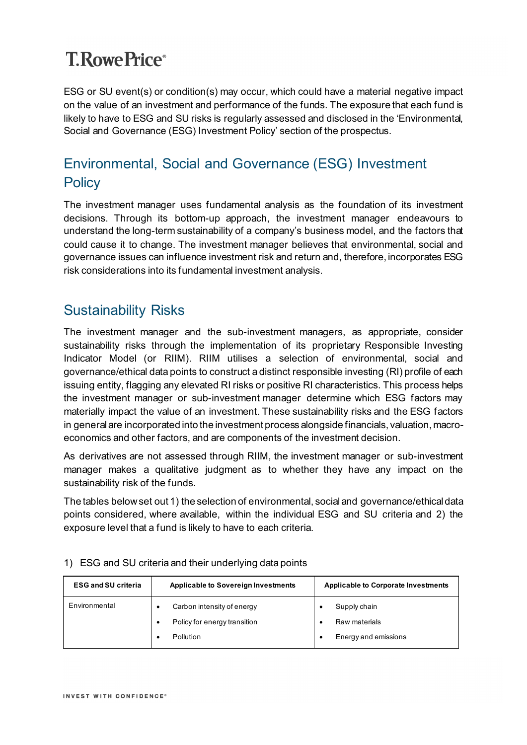ESG or SU event(s) or condition(s) may occur, which could have a material negative impact on the value of an investment and performance of the funds. The exposure that each fund is likely to have to ESG and SU risks is regularly assessed and disclosed in the 'Environmental, Social and Governance (ESG) Investment Policy' section of the prospectus.

### Environmental, Social and Governance (ESG) Investment **Policy**

The investment manager uses fundamental analysis as the foundation of its investment decisions. Through its bottom-up approach, the investment manager endeavours to understand the long-term sustainability of a company's business model, and the factors that could cause it to change. The investment manager believes that environmental, social and governance issues can influence investment risk and return and, therefore, incorporates ESG risk considerations into its fundamental investment analysis.

#### Sustainability Risks

The investment manager and the sub-investment managers, as appropriate, consider sustainability risks through the implementation of its proprietary Responsible Investing Indicator Model (or RIIM). RIIM utilises a selection of environmental, social and governance/ethical data points to construct a distinct responsible investing (RI) profile of each issuing entity, flagging any elevated RI risks or positive RI characteristics. This process helps the investment manager or sub-investment manager determine which ESG factors may materially impact the value of an investment. These sustainability risks and the ESG factors in general are incorporated into the investment process alongside financials, valuation, macroeconomics and other factors, and are components of the investment decision.

As derivatives are not assessed through RIIM, the investment manager or sub-investment manager makes a qualitative judgment as to whether they have any impact on the sustainability risk of the funds.

The tables below set out 1) the selection of environmental, social and governance/ethicaldata points considered, where available, within the individual ESG and SU criteria and 2) the exposure level that a fund is likely to have to each criteria.

| <b>ESG and SU criteria</b> | <b>Applicable to Sovereign Investments</b>                 | <b>Applicable to Corporate Investments</b> |  |  |
|----------------------------|------------------------------------------------------------|--------------------------------------------|--|--|
| Environmental              | Carbon intensity of energy<br>Policy for energy transition | Supply chain<br>Raw materials              |  |  |
|                            | Pollution                                                  | Energy and emissions                       |  |  |

#### 1) ESG and SU criteria and their underlying data points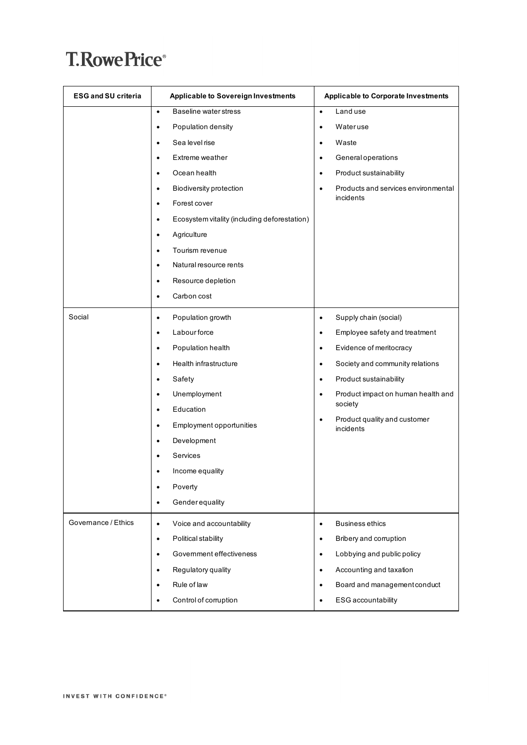| <b>ESG and SU criteria</b> | <b>Applicable to Sovereign Investments</b>                | <b>Applicable to Corporate Investments</b>             |  |  |
|----------------------------|-----------------------------------------------------------|--------------------------------------------------------|--|--|
|                            | Baseline water stress<br>$\bullet$                        | Land use<br>$\bullet$                                  |  |  |
|                            | Population density<br>٠                                   | Wateruse<br>$\bullet$                                  |  |  |
|                            | Sea level rise<br>٠                                       | Waste<br>٠                                             |  |  |
|                            | Extreme weather<br>٠                                      | General operations<br>٠                                |  |  |
|                            | Ocean health<br>$\bullet$                                 | Product sustainability<br>$\bullet$                    |  |  |
|                            | <b>Biodiversity protection</b><br>$\bullet$               | Products and services environmental<br>$\bullet$       |  |  |
|                            | Forest cover<br>$\bullet$                                 | incidents                                              |  |  |
|                            | Ecosystem vitality (including deforestation)<br>$\bullet$ |                                                        |  |  |
|                            | Agriculture<br>$\bullet$                                  |                                                        |  |  |
|                            | Tourism revenue<br>٠                                      |                                                        |  |  |
|                            | Natural resource rents<br>٠                               |                                                        |  |  |
|                            | Resource depletion<br>٠                                   |                                                        |  |  |
|                            | Carbon cost<br>$\bullet$                                  |                                                        |  |  |
| Social                     | Population growth<br>٠                                    | Supply chain (social)<br>$\bullet$                     |  |  |
|                            | Labour force<br>$\bullet$                                 | Employee safety and treatment<br>$\bullet$             |  |  |
|                            | Population health<br>$\bullet$                            | Evidence of meritocracy<br>$\bullet$                   |  |  |
|                            | Health infrastructure<br>$\bullet$                        | Society and community relations<br>$\bullet$           |  |  |
|                            | Safety<br>٠                                               | Product sustainability<br>$\bullet$                    |  |  |
|                            | Unemployment<br>$\bullet$                                 | Product impact on human health and<br>$\bullet$        |  |  |
|                            | Education<br>٠                                            | society                                                |  |  |
|                            | Employment opportunities<br>٠                             | Product quality and customer<br>$\bullet$<br>incidents |  |  |
|                            | Development<br>$\bullet$                                  |                                                        |  |  |
|                            | Services<br>٠                                             |                                                        |  |  |
|                            | Income equality                                           |                                                        |  |  |
|                            | Poverty                                                   |                                                        |  |  |
|                            | Genderequality<br>$\bullet$                               |                                                        |  |  |
| Governance / Ethics        | Voice and accountability<br>$\bullet$                     | <b>Business ethics</b><br>$\bullet$                    |  |  |
|                            | Political stability<br>$\bullet$                          | Bribery and corruption<br>$\bullet$                    |  |  |
|                            | Government effectiveness<br>$\bullet$                     | Lobbying and public policy<br>$\bullet$                |  |  |
|                            | Regulatory quality<br>$\bullet$                           | Accounting and taxation<br>$\bullet$                   |  |  |
|                            | Rule of law<br>٠                                          | Board and management conduct<br>$\bullet$              |  |  |
|                            | Control of corruption                                     | ESG accountability<br>$\bullet$                        |  |  |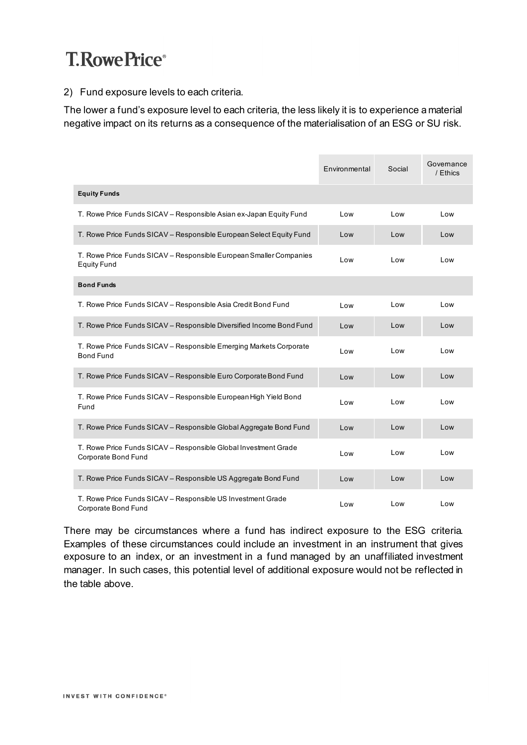#### 2) Fund exposure levels to each criteria.

The lower a fund's exposure level to each criteria, the less likely it is to experience a material negative impact on its returns as a consequence of the materialisation of an ESG or SU risk.

|                                                                                          | Environmental | Social | Governance<br>/ Ethics |
|------------------------------------------------------------------------------------------|---------------|--------|------------------------|
| <b>Equity Funds</b>                                                                      |               |        |                        |
| T. Rowe Price Funds SICAV - Responsible Asian ex-Japan Equity Fund                       | Low           | Low    | Low                    |
| T. Rowe Price Funds SICAV - Responsible European Select Equity Fund                      | Low           | Low    | Low                    |
| T. Rowe Price Funds SICAV - Responsible European Smaller Companies<br><b>Equity Fund</b> | Low           | Low    | Low                    |
| <b>Bond Funds</b>                                                                        |               |        |                        |
| T. Rowe Price Funds SICAV - Responsible Asia Credit Bond Fund                            | Low           | Low    | Low                    |
| T. Rowe Price Funds SICAV - Responsible Diversified Income Bond Fund                     | Low           | Low    | Low                    |
| T. Rowe Price Funds SICAV - Responsible Emerging Markets Corporate<br><b>Bond Fund</b>   | Low           | Low    | Low                    |
| T. Rowe Price Funds SICAV - Responsible Euro Corporate Bond Fund                         | Low           | Low    | Low                    |
| T. Rowe Price Funds SICAV - Responsible European High Yield Bond<br>Fund                 | Low           | Low    | Low                    |
| T. Rowe Price Funds SICAV - Responsible Global Aggregate Bond Fund                       | Low           | Low    | Low                    |
| T. Rowe Price Funds SICAV - Responsible Global Investment Grade<br>Corporate Bond Fund   | Low           | Low    | Low                    |
| T. Rowe Price Funds SICAV - Responsible US Aggregate Bond Fund                           | Low           | Low    | Low                    |
| T. Rowe Price Funds SICAV - Responsible US Investment Grade<br>Corporate Bond Fund       | Low           | Low    | Low                    |

There may be circumstances where a fund has indirect exposure to the ESG criteria. Examples of these circumstances could include an investment in an instrument that gives exposure to an index, or an investment in a fund managed by an unaffiliated investment manager. In such cases, this potential level of additional exposure would not be reflected in the table above.